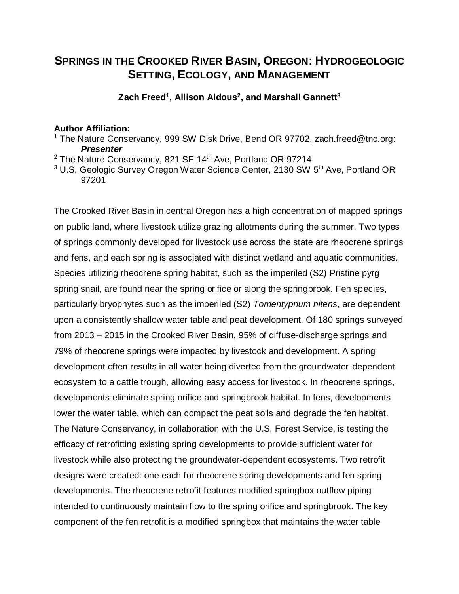## **SPRINGS IN THE CROOKED RIVER BASIN, OREGON: HYDROGEOLOGIC SETTING, ECOLOGY, AND MANAGEMENT**

**Zach Freed<sup>1</sup> , Allison Aldous<sup>2</sup> , and Marshall Gannett<sup>3</sup>**

## **Author Affiliation:**

- <sup>1</sup> The Nature Conservancy, 999 SW Disk Drive, Bend OR 97702, zach.freed@tnc.org: *Presenter*
- $2$  The Nature Conservancy, 821 SE 14<sup>th</sup> Ave, Portland OR 97214
- $3$  U.S. Geologic Survey Oregon Water Science Center, 2130 SW 5<sup>th</sup> Ave, Portland OR 97201

The Crooked River Basin in central Oregon has a high concentration of mapped springs on public land, where livestock utilize grazing allotments during the summer. Two types of springs commonly developed for livestock use across the state are rheocrene springs and fens, and each spring is associated with distinct wetland and aquatic communities. Species utilizing rheocrene spring habitat, such as the imperiled (S2) Pristine pyrg spring snail, are found near the spring orifice or along the springbrook. Fen species, particularly bryophytes such as the imperiled (S2) *Tomentypnum nitens*, are dependent upon a consistently shallow water table and peat development. Of 180 springs surveyed from 2013 – 2015 in the Crooked River Basin, 95% of diffuse-discharge springs and 79% of rheocrene springs were impacted by livestock and development. A spring development often results in all water being diverted from the groundwater-dependent ecosystem to a cattle trough, allowing easy access for livestock. In rheocrene springs, developments eliminate spring orifice and springbrook habitat. In fens, developments lower the water table, which can compact the peat soils and degrade the fen habitat. The Nature Conservancy, in collaboration with the U.S. Forest Service, is testing the efficacy of retrofitting existing spring developments to provide sufficient water for livestock while also protecting the groundwater-dependent ecosystems. Two retrofit designs were created: one each for rheocrene spring developments and fen spring developments. The rheocrene retrofit features modified springbox outflow piping intended to continuously maintain flow to the spring orifice and springbrook. The key component of the fen retrofit is a modified springbox that maintains the water table